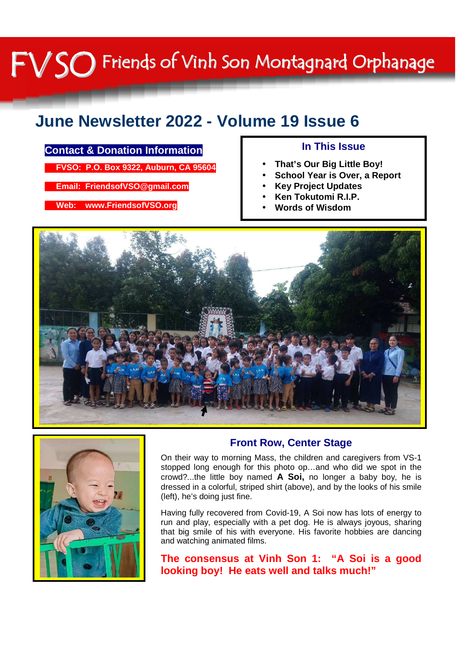## FV SO Friends of Vinh Son Montagnard Orphanage

#### **June Newsletter 2022 - Volume 19 Issue 6**

#### **Contact & Donation Information**

 **FVSO: P.O. Box 9322, Auburn, CA 95604** 

 **Email: FriendsofVSO@gmail.com** 

 **Web: www.FriendsofVSO.org** 

#### **In This Issue**

- **That's Our Big Little Boy!**
- **School Year is Over, a Report**
- **Key Project Updates**
- **Ken Tokutomi R.I.P.**
- **Words of Wisdom**





#### **Front Row, Center Stage**

On their way to morning Mass, the children and caregivers from VS-1 stopped long enough for this photo op…and who did we spot in the crowd?...the little boy named **A Soi,** no longer a baby boy, he is dressed in a colorful, striped shirt (above), and by the looks of his smile (left), he's doing just fine.

Having fully recovered from Covid-19, A Soi now has lots of energy to run and play, especially with a pet dog. He is always joyous, sharing that big smile of his with everyone. His favorite hobbies are dancing and watching animated films.

**The consensus at Vinh Son 1: "A Soi is a good looking boy! He eats well and talks much!"**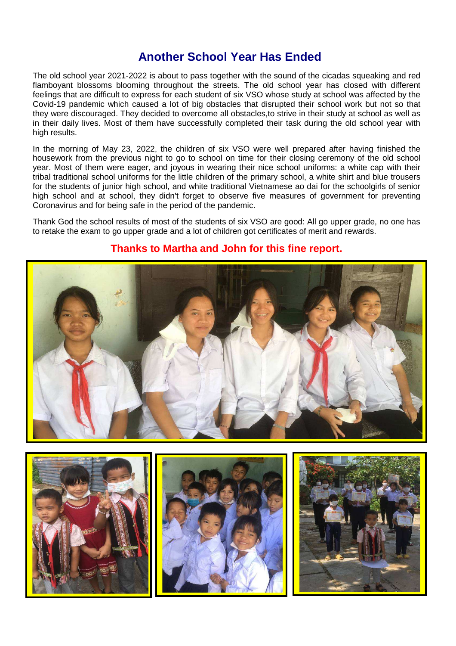#### **Another School Year Has Ended**

The old school year 2021-2022 is about to pass together with the sound of the cicadas squeaking and red flamboyant blossoms blooming throughout the streets. The old school year has closed with different feelings that are difficult to express for each student of six VSO whose study at school was affected by the Covid-19 pandemic which caused a lot of big obstacles that disrupted their school work but not so that they were discouraged. They decided to overcome all obstacles,to strive in their study at school as well as in their daily lives. Most of them have successfully completed their task during the old school year with high results.

In the morning of May 23, 2022, the children of six VSO were well prepared after having finished the housework from the previous night to go to school on time for their closing ceremony of the old school year. Most of them were eager, and joyous in wearing their nice school uniforms: a white cap with their tribal traditional school uniforms for the little children of the primary school, a white shirt and blue trousers for the students of junior high school, and white traditional Vietnamese ao dai for the schoolgirls of senior high school and at school, they didn't forget to observe five measures of government for preventing Coronavirus and for being safe in the period of the pandemic.

Thank God the school results of most of the students of six VSO are good: All go upper grade, no one has to retake the exam to go upper grade and a lot of children got certificates of merit and rewards.



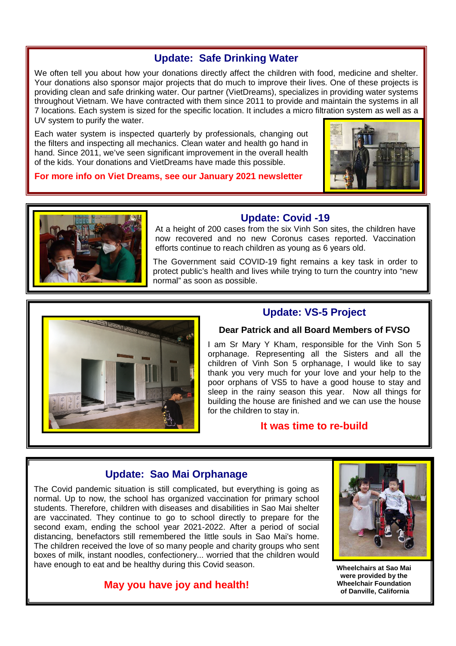#### **Update: Safe Drinking Water**

We often tell you about how your donations directly affect the children with food, medicine and shelter. Your donations also sponsor major projects that do much to improve their lives. One of these projects is providing clean and safe drinking water. Our partner (VietDreams), specializes in providing water systems throughout Vietnam. We have contracted with them since 2011 to provide and maintain the systems in all 7 locations. Each system is sized for the specific location. It includes a micro filtration system as well as a UV system to purify the water.

Each water system is inspected quarterly by professionals, changing out the filters and inspecting all mechanics. Clean water and health go hand in hand. Since 2011, we've seen significant improvement in the overall health of the kids. Your donations and VietDreams have made this possible.

**For more info on Viet Dreams, see our January 2021 newsletter** 



# I

#### **Update: Covid -19**

At a height of 200 cases from the six Vinh Son sites, the children have now recovered and no new Coronus cases reported. Vaccination efforts continue to reach children as young as 6 years old.

The Government said COVID-19 fight remains a key task in order to protect public's health and lives while trying to turn the country into "new normal" as soon as possible.



#### **Update: VS-5 Project**

#### **Dear Patrick and all Board Members of FVSO**

I am Sr Mary Y Kham, responsible for the Vinh Son 5 orphanage. Representing all the Sisters and all the children of Vinh Son 5 orphanage, I would like to say thank you very much for your love and your help to the poor orphans of VS5 to have a good house to stay and sleep in the rainy season this year. Now all things for building the house are finished and we can use the house for the children to stay in.

#### **It was time to re-build**

#### **Update: Sao Mai Orphanage**

The Covid pandemic situation is still complicated, but everything is going as normal. Up to now, the school has organized vaccination for primary school students. Therefore, children with diseases and disabilities in Sao Mai shelter are vaccinated. They continue to go to school directly to prepare for the second exam, ending the school year 2021-2022. After a period of social distancing, benefactors still remembered the little souls in Sao Mai's home. The children received the love of so many people and charity groups who sent boxes of milk, instant noodles, confectionery... worried that the children would have enough to eat and be healthy during this Covid season.

#### **May you have joy and health!**



**Wheelchairs at Sao Mai were provided by the Wheelchair Foundation of Danville, California**